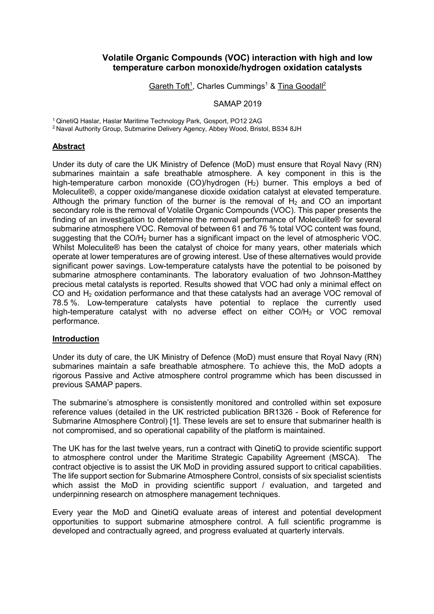## Volatile Organic Compounds (VOC) interaction with high and low temperature carbon monoxide/hydrogen oxidation catalysts

Gareth Toft<sup>1</sup>, Charles Cummings<sup>1</sup> & Tina Goodall<sup>2</sup>

SAMAP 2019

<sup>1</sup>QinetiQ Haslar, Haslar Maritime Technology Park, Gosport, PO12 2AG

<sup>2</sup> Naval Authority Group, Submarine Delivery Agency, Abbey Wood, Bristol, BS34 8JH

### Abstract

Under its duty of care the UK Ministry of Defence (MoD) must ensure that Royal Navy (RN) submarines maintain a safe breathable atmosphere. A key component in this is the high-temperature carbon monoxide (CO)/hydrogen  $(H<sub>2</sub>)$  burner. This employs a bed of Moleculite®, a copper oxide/manganese dioxide oxidation catalyst at elevated temperature. Although the primary function of the burner is the removal of  $H_2$  and CO an important secondary role is the removal of Volatile Organic Compounds (VOC). This paper presents the finding of an investigation to determine the removal performance of Moleculite® for several submarine atmosphere VOC. Removal of between 61 and 76 % total VOC content was found, suggesting that the CO/H<sub>2</sub> burner has a significant impact on the level of atmospheric VOC. Whilst Moleculite® has been the catalyst of choice for many years, other materials which operate at lower temperatures are of growing interest. Use of these alternatives would provide significant power savings. Low-temperature catalysts have the potential to be poisoned by submarine atmosphere contaminants. The laboratory evaluation of two Johnson-Matthey precious metal catalysts is reported. Results showed that VOC had only a minimal effect on CO and H2 oxidation performance and that these catalysts had an average VOC removal of 78.5 %. Low-temperature catalysts have potential to replace the currently used high-temperature catalyst with no adverse effect on either  $CO/H<sub>2</sub>$  or VOC removal performance.

### Introduction

Under its duty of care, the UK Ministry of Defence (MoD) must ensure that Royal Navy (RN) submarines maintain a safe breathable atmosphere. To achieve this, the MoD adopts a rigorous Passive and Active atmosphere control programme which has been discussed in previous SAMAP papers.

The submarine's atmosphere is consistently monitored and controlled within set exposure reference values (detailed in the UK restricted publication BR1326 - Book of Reference for Submarine Atmosphere Control) [1]. These levels are set to ensure that submariner health is not compromised, and so operational capability of the platform is maintained.

The UK has for the last twelve years, run a contract with QinetiQ to provide scientific support to atmosphere control under the Maritime Strategic Capability Agreement (MSCA). The contract objective is to assist the UK MoD in providing assured support to critical capabilities. The life support section for Submarine Atmosphere Control, consists of six specialist scientists which assist the MoD in providing scientific support / evaluation, and targeted and underpinning research on atmosphere management techniques.

Every year the MoD and QinetiQ evaluate areas of interest and potential development opportunities to support submarine atmosphere control. A full scientific programme is developed and contractually agreed, and progress evaluated at quarterly intervals.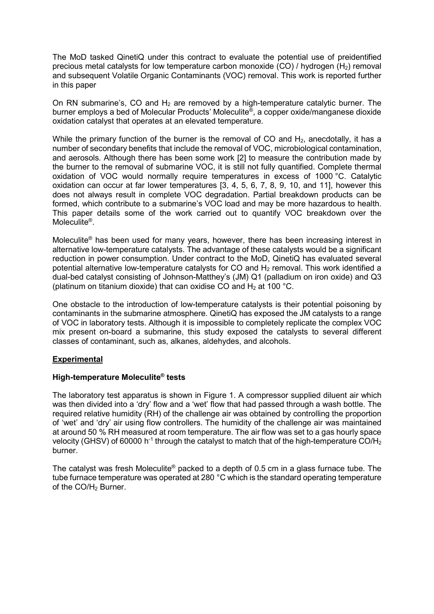The MoD tasked QinetiQ under this contract to evaluate the potential use of preidentified precious metal catalysts for low temperature carbon monoxide  $(CO)$  / hydrogen  $(H<sub>2</sub>)$  removal and subsequent Volatile Organic Contaminants (VOC) removal. This work is reported further in this paper

On RN submarine's, CO and  $H_2$  are removed by a high-temperature catalytic burner. The burner employs a bed of Molecular Products' Moleculite® , a copper oxide/manganese dioxide oxidation catalyst that operates at an elevated temperature.

While the primary function of the burner is the removal of CO and  $H_2$ , anecdotally, it has a number of secondary benefits that include the removal of VOC, microbiological contamination, and aerosols. Although there has been some work [2] to measure the contribution made by the burner to the removal of submarine VOC, it is still not fully quantified. Complete thermal oxidation of VOC would normally require temperatures in excess of 1000 °C. Catalytic oxidation can occur at far lower temperatures [3, 4, 5, 6, 7, 8, 9, 10, and 11], however this does not always result in complete VOC degradation. Partial breakdown products can be formed, which contribute to a submarine's VOC load and may be more hazardous to health. This paper details some of the work carried out to quantify VOC breakdown over the Moleculite® .

Moleculite® has been used for many years, however, there has been increasing interest in alternative low-temperature catalysts. The advantage of these catalysts would be a significant reduction in power consumption. Under contract to the MoD, QinetiQ has evaluated several potential alternative low-temperature catalysts for CO and  $H<sub>2</sub>$  removal. This work identified a dual-bed catalyst consisting of Johnson-Matthey's (JM) Q1 (palladium on iron oxide) and Q3 (platinum on titanium dioxide) that can oxidise CO and  $H_2$  at 100 °C.

One obstacle to the introduction of low-temperature catalysts is their potential poisoning by contaminants in the submarine atmosphere. QinetiQ has exposed the JM catalysts to a range of VOC in laboratory tests. Although it is impossible to completely replicate the complex VOC mix present on-board a submarine, this study exposed the catalysts to several different classes of contaminant, such as, alkanes, aldehydes, and alcohols.

### Experimental

### High-temperature Moleculite® tests

The laboratory test apparatus is shown in Figure 1. A compressor supplied diluent air which was then divided into a 'dry' flow and a 'wet' flow that had passed through a wash bottle. The required relative humidity (RH) of the challenge air was obtained by controlling the proportion of 'wet' and 'dry' air using flow controllers. The humidity of the challenge air was maintained at around 50 % RH measured at room temperature. The air flow was set to a gas hourly space velocity (GHSV) of 60000 h<sup>-1</sup> through the catalyst to match that of the high-temperature CO/H<sub>2</sub> burner.

The catalyst was fresh Moleculite<sup>®</sup> packed to a depth of 0.5 cm in a glass furnace tube. The tube furnace temperature was operated at 280 °C which is the standard operating temperature of the CO/H<sub>2</sub> Burner.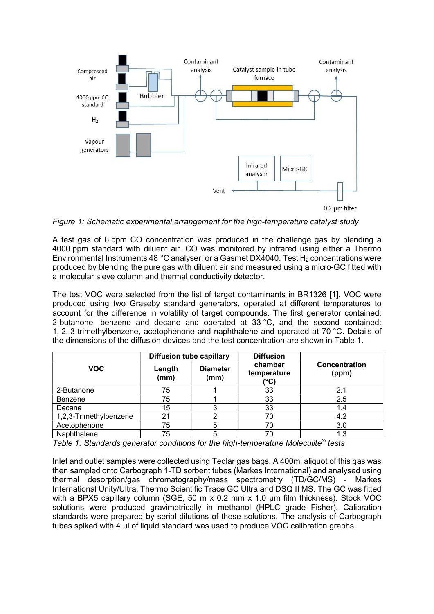

Figure 1: Schematic experimental arrangement for the high-temperature catalyst study

A test gas of 6 ppm CO concentration was produced in the challenge gas by blending a 4000 ppm standard with diluent air. CO was monitored by infrared using either a Thermo Environmental Instruments 48 °C analyser, or a Gasmet DX4040. Test  $H_2$  concentrations were produced by blending the pure gas with diluent air and measured using a micro-GC fitted with a molecular sieve column and thermal conductivity detector.

The test VOC were selected from the list of target contaminants in BR1326 [1]. VOC were produced using two Graseby standard generators, operated at different temperatures to account for the difference in volatility of target compounds. The first generator contained: 2-butanone, benzene and decane and operated at 33 °C, and the second contained: 1, 2, 3-trimethylbenzene, acetophenone and naphthalene and operated at 70 °C. Details of the dimensions of the diffusion devices and the test concentration are shown in Table 1.

|                        | <b>Diffusion tube capillary</b> |                         | <b>Diffusion</b>               |                        |  |
|------------------------|---------------------------------|-------------------------|--------------------------------|------------------------|--|
| <b>VOC</b>             | Length<br>(mm)                  | <b>Diameter</b><br>(mm) | chamber<br>temperature<br>(°C) | Concentration<br>(ppm) |  |
| 2-Butanone             | 75                              |                         | 33                             | 2.1                    |  |
| Benzene                | 75                              |                         | 33                             | 2.5                    |  |
| Decane                 | 15                              |                         | 33                             | 1.4                    |  |
| 1,2,3-Trimethylbenzene | 21                              | c                       | 70                             | 4.2                    |  |
| Acetophenone           | 75                              | 5                       | 70                             | 3.0                    |  |
| Naphthalene            | 75                              | 5                       | 70                             | 1.3                    |  |

Table 1: Standards generator conditions for the high-temperature Moleculite<sup>®</sup> tests

Inlet and outlet samples were collected using Tedlar gas bags. A 400ml aliquot of this gas was then sampled onto Carbograph 1-TD sorbent tubes (Markes International) and analysed using thermal desorption/gas chromatography/mass spectrometry (TD/GC/MS) - Markes International Unity/Ultra, Thermo Scientific Trace GC Ultra and DSQ II MS. The GC was fitted with a BPX5 capillary column (SGE, 50 m x 0.2 mm x 1.0 µm film thickness). Stock VOC solutions were produced gravimetrically in methanol (HPLC grade Fisher). Calibration standards were prepared by serial dilutions of these solutions. The analysis of Carbograph tubes spiked with 4 µl of liquid standard was used to produce VOC calibration graphs.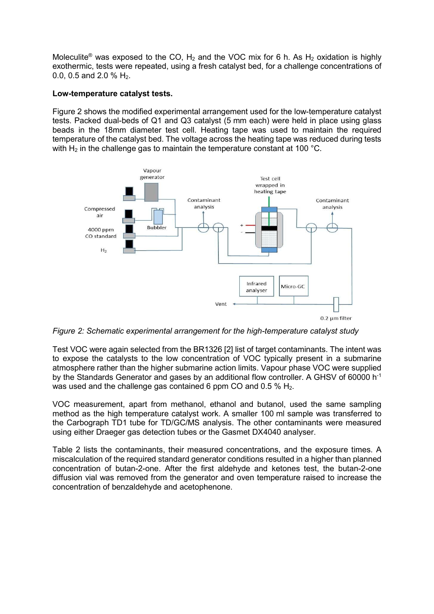Moleculite<sup>®</sup> was exposed to the CO, H<sub>2</sub> and the VOC mix for 6 h. As H<sub>2</sub> oxidation is highly exothermic, tests were repeated, using a fresh catalyst bed, for a challenge concentrations of 0.0, 0.5 and 2.0 % H2.

#### Low-temperature catalyst tests.

Figure 2 shows the modified experimental arrangement used for the low-temperature catalyst tests. Packed dual-beds of Q1 and Q3 catalyst (5 mm each) were held in place using glass beads in the 18mm diameter test cell. Heating tape was used to maintain the required temperature of the catalyst bed. The voltage across the heating tape was reduced during tests with  $H_2$  in the challenge gas to maintain the temperature constant at 100 °C.



Figure 2: Schematic experimental arrangement for the high-temperature catalyst study

Test VOC were again selected from the BR1326 [2] list of target contaminants. The intent was to expose the catalysts to the low concentration of VOC typically present in a submarine atmosphere rather than the higher submarine action limits. Vapour phase VOC were supplied by the Standards Generator and gases by an additional flow controller. A GHSV of 60000 h<sup>-1</sup> was used and the challenge gas contained 6 ppm CO and 0.5  $%$  H<sub>2</sub>.

VOC measurement, apart from methanol, ethanol and butanol, used the same sampling method as the high temperature catalyst work. A smaller 100 ml sample was transferred to the Carbograph TD1 tube for TD/GC/MS analysis. The other contaminants were measured using either Draeger gas detection tubes or the Gasmet DX4040 analyser.

Table 2 lists the contaminants, their measured concentrations, and the exposure times. A miscalculation of the required standard generator conditions resulted in a higher than planned concentration of butan-2-one. After the first aldehyde and ketones test, the butan-2-one diffusion vial was removed from the generator and oven temperature raised to increase the concentration of benzaldehyde and acetophenone.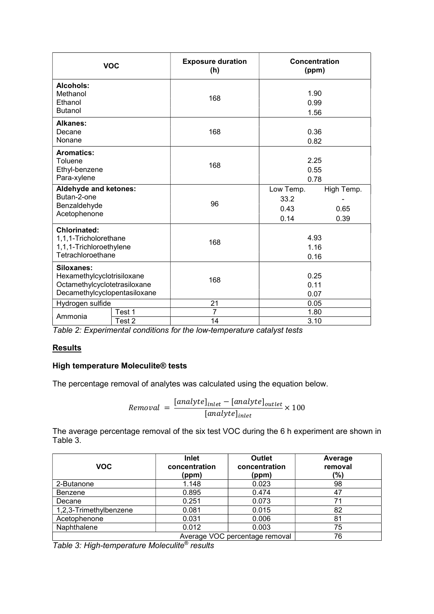|                                                                                                          | <b>VOC</b> | <b>Exposure duration</b><br>(h)         | Concentration<br>(ppm) |                            |  |
|----------------------------------------------------------------------------------------------------------|------------|-----------------------------------------|------------------------|----------------------------|--|
| Alcohols:<br>Methanol<br>Ethanol<br><b>Butanol</b>                                                       |            | 168                                     | 1.90<br>0.99<br>1.56   |                            |  |
| <b>Alkanes:</b><br>Decane<br>Nonane                                                                      |            | 168                                     | 0.36<br>0.82           |                            |  |
| <b>Aromatics:</b><br>Toluene<br>Ethyl-benzene<br>Para-xylene                                             |            | 168                                     | 2.25<br>0.55<br>0.78   |                            |  |
| Aldehyde and ketones:<br>Butan-2-one<br>Benzaldehyde<br>Acetophenone                                     |            | Low Temp.<br>33.2<br>96<br>0.43<br>0.14 |                        | High Temp.<br>0.65<br>0.39 |  |
| <b>Chlorinated:</b><br>1,1,1-Tricholorethane<br>1,1,1-Trichloroethylene<br>Tetrachloroethane             |            | 168                                     | 4.93<br>1.16<br>0.16   |                            |  |
| Siloxanes:<br>Hexamethylcyclotrisiloxane<br>Octamethylcyclotetrasiloxane<br>Decamethylcyclopentasiloxane |            | 168                                     | 0.25<br>0.11<br>0.07   |                            |  |
| Hydrogen sulfide                                                                                         | Test 1     | 21<br>7                                 | 0.05<br>1.80           |                            |  |
| Ammonia                                                                                                  | Test 2<br> | 14                                      | 3.10                   |                            |  |

Table 2: Experimental conditions for the low-temperature catalyst tests

# **Results**

# High temperature Moleculite® tests

The percentage removal of analytes was calculated using the equation below.

$$
Removal = \frac{[analyte]_{inlet} - [analyte]_{outlet}}{[analyte]_{inlet}} \times 100
$$

The average percentage removal of the six test VOC during the 6 h experiment are shown in Table 3.

| <b>VOC</b>             | <b>Inlet</b><br>concentration<br>(ppm) | <b>Outlet</b><br>concentration<br>(ppm) | Average<br>removal<br>(%) |
|------------------------|----------------------------------------|-----------------------------------------|---------------------------|
| 2-Butanone             | 1.148                                  | 0.023                                   | 98                        |
| <b>Benzene</b>         | 0.895                                  | 0.474                                   | 47                        |
| Decane                 | 0.251                                  | 0.073                                   | 71                        |
| 1,2,3-Trimethylbenzene | 0.081                                  | 0.015                                   | 82                        |
| Acetophenone           | 0.031                                  | 0.006                                   | 81                        |
| Naphthalene            | 0.012                                  | 0.003                                   | 75                        |
|                        | 76                                     |                                         |                           |

Table 3: High-temperature Moleculite® results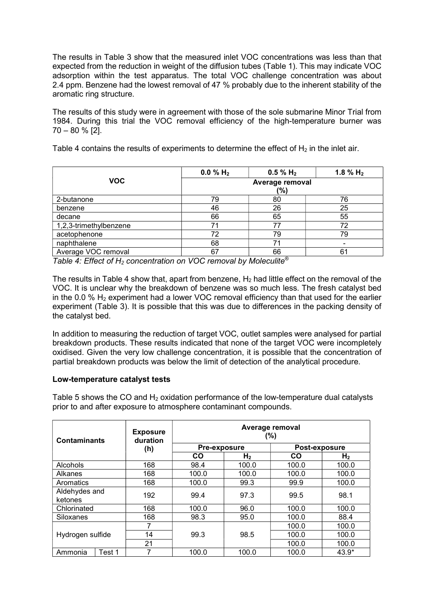The results in Table 3 show that the measured inlet VOC concentrations was less than that expected from the reduction in weight of the diffusion tubes (Table 1). This may indicate VOC adsorption within the test apparatus. The total VOC challenge concentration was about 2.4 ppm. Benzene had the lowest removal of 47 % probably due to the inherent stability of the aromatic ring structure.

The results of this study were in agreement with those of the sole submarine Minor Trial from 1984. During this trial the VOC removal efficiency of the high-temperature burner was 70 – 80 % [2].

Table 4 contains the results of experiments to determine the effect of  $H_2$  in the inlet air.

|                        | 0.0 % $H_2$            | $0.5 \% H_2$ | 1.8 % $H_2$ |  |
|------------------------|------------------------|--------------|-------------|--|
| <b>VOC</b>             | Average removal<br>(%) |              |             |  |
| 2-butanone             | 79                     | 80           | 76          |  |
| benzene                | 46                     | 26           | 25          |  |
| decane                 | 66                     | 65           | 55          |  |
| 1,2,3-trimethylbenzene |                        |              | 72          |  |
| acetophenone           | 72                     | 79           | 79          |  |
| naphthalene            | 68                     | 71           |             |  |
| Average VOC removal    | 67                     | 66           | 61          |  |

Table 4: Effect of H<sub>2</sub> concentration on VOC removal by Moleculite®

The results in Table 4 show that, apart from benzene,  $H_2$  had little effect on the removal of the VOC. It is unclear why the breakdown of benzene was so much less. The fresh catalyst bed in the 0.0 %  $H_2$  experiment had a lower VOC removal efficiency than that used for the earlier experiment (Table 3). It is possible that this was due to differences in the packing density of the catalyst bed.

In addition to measuring the reduction of target VOC, outlet samples were analysed for partial breakdown products. These results indicated that none of the target VOC were incompletely oxidised. Given the very low challenge concentration, it is possible that the concentration of partial breakdown products was below the limit of detection of the analytical procedure.

# Low-temperature catalyst tests

Table 5 shows the CO and  $H_2$  oxidation performance of the low-temperature dual catalysts prior to and after exposure to atmosphere contaminant compounds.

| <b>Contaminants</b>      |        | <b>Exposure</b><br>duration | Average removal<br>(%) |                |           |                |  |
|--------------------------|--------|-----------------------------|------------------------|----------------|-----------|----------------|--|
|                          |        | (h)                         |                        | Pre-exposure   |           | Post-exposure  |  |
|                          |        |                             | CO                     | H <sub>2</sub> | <b>CO</b> | H <sub>2</sub> |  |
| Alcohols                 |        | 168                         | 98.4                   | 100.0          | 100.0     | 100.0          |  |
| Alkanes                  |        | 168                         | 100.0                  | 100.0          | 100.0     | 100.0          |  |
| Aromatics                |        | 168                         | 100.0                  | 99.3           | 99.9      | 100.0          |  |
| Aldehydes and<br>ketones |        | 192                         | 99.4                   | 97.3           | 99.5      | 98.1           |  |
| Chlorinated              |        | 168                         | 100.0                  | 96.0           | 100.0     | 100.0          |  |
| Siloxanes                |        | 168                         | 98.3                   | 95.0           | 100.0     | 88.4           |  |
|                          |        |                             |                        |                | 100.0     | 100.0          |  |
| Hydrogen sulfide         | 14     | 99.3                        | 98.5                   | 100.0          | 100.0     |                |  |
|                          | 21     |                             |                        | 100.0          | 100.0     |                |  |
| Ammonia                  | Test 1 |                             | 100.0                  | 100.0          | 100.0     | $43.9*$        |  |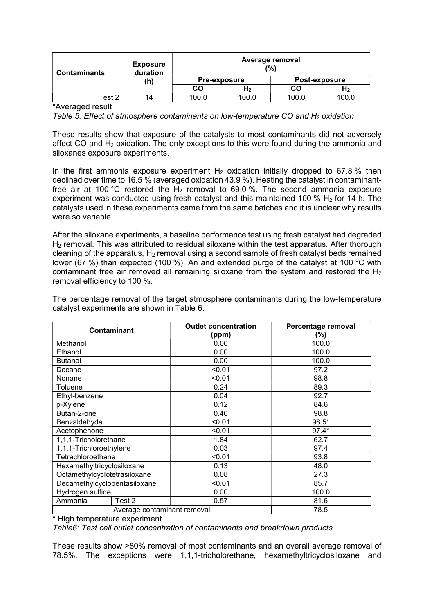| <b>Contaminants</b> |        | <b>Exposure</b><br>duration |       | Average removal<br>(%) |       |       |  |
|---------------------|--------|-----------------------------|-------|------------------------|-------|-------|--|
|                     | (h)    | <b>Pre-exposure</b>         |       | Post-exposure          |       |       |  |
|                     |        |                             | CO    | H <sub>2</sub>         | CO    | $H_2$ |  |
|                     | Test 2 | 14                          | 100.0 | 100.0                  | 100.0 | 100.0 |  |

\*Averaged result

Table 5: Effect of atmosphere contaminants on low-temperature CO and  $H_2$  oxidation

These results show that exposure of the catalysts to most contaminants did not adversely affect CO and  $H_2$  oxidation. The only exceptions to this were found during the ammonia and siloxanes exposure experiments.

In the first ammonia exposure experiment  $H_2$  oxidation initially dropped to 67.8 % then declined over time to 16.5 % (averaged oxidation 43.9 %). Heating the catalyst in contaminantfree air at 100 °C restored the  $H_2$  removal to 69.0 %. The second ammonia exposure experiment was conducted using fresh catalyst and this maintained 100 %  $H_2$  for 14 h. The catalysts used in these experiments came from the same batches and it is unclear why results were so variable.

After the siloxane experiments, a baseline performance test using fresh catalyst had degraded  $H<sub>2</sub>$  removal. This was attributed to residual siloxane within the test apparatus. After thorough cleaning of the apparatus,  $H_2$  removal using a second sample of fresh catalyst beds remained lower (67 %) than expected (100 %). An and extended purge of the catalyst at 100 °C with contaminant free air removed all remaining siloxane from the system and restored the  $H_2$ removal efficiency to 100 %.

| Contaminant                  |                             | <b>Outlet concentration</b> | Percentage removal |
|------------------------------|-----------------------------|-----------------------------|--------------------|
|                              |                             | (ppm)                       | (%)                |
| Methanol                     |                             | 0.00                        | 100.0              |
| Ethanol                      |                             | 0.00                        | 100.0              |
| <b>Butanol</b>               |                             | 0.00                        | 100.0              |
| Decane                       |                             | < 0.01                      | 97.2               |
| Nonane                       |                             | < 0.01                      | 98.8               |
| Toluene                      |                             | 0.24                        | 89.3               |
| Ethyl-benzene                |                             | 0.04                        | 92.7               |
| p-Xylene                     |                             | 0.12                        | 84.6               |
| Butan-2-one                  |                             | 0.40                        | 98.8               |
| Benzaldehyde                 |                             | < 0.01                      | 98.5*              |
| Acetophenone                 |                             | < 0.01                      | $97.4*$            |
| 1,1,1-Tricholorethane        |                             | 1.84                        | 62.7               |
| 1,1,1-Trichloroethylene      |                             | 0.03                        | 97.4               |
| Tetrachloroethane            |                             | < 0.01                      | 93.8               |
| Hexamethyltricyclosiloxane   |                             | 0.13                        | 48.0               |
| Octamethylcyclotetrasiloxane |                             | 0.08                        | 27.3               |
| Decamethylcyclopentasiloxane |                             | < 0.01                      | 85.7               |
| Hydrogen sulfide             |                             | 0.00                        | 100.0              |
| Ammonia                      | Test 2                      | 0.57                        | 81.6               |
|                              | Average contaminant removal |                             | 78.5               |

The percentage removal of the target atmosphere contaminants during the low-temperature catalyst experiments are shown in Table 6.

\* High temperature experiment

Table6: Test cell outlet concentration of contaminants and breakdown products

These results show >80% removal of most contaminants and an overall average removal of 78.5%. The exceptions were 1,1,1-tricholorethane, hexamethyltricyclosiloxane and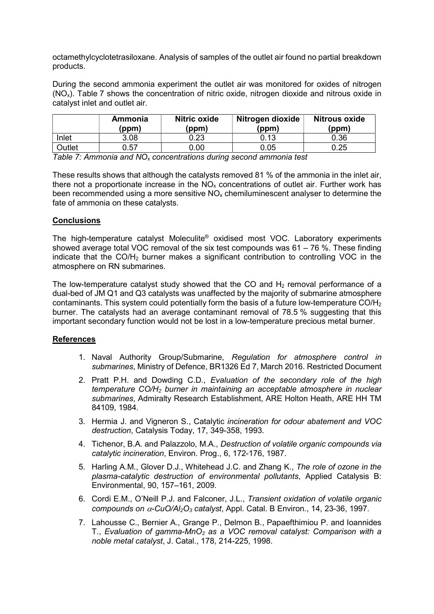octamethylcyclotetrasiloxane. Analysis of samples of the outlet air found no partial breakdown products.

During the second ammonia experiment the outlet air was monitored for oxides of nitrogen  $(NO<sub>x</sub>)$ . Table 7 shows the concentration of nitric oxide, nitrogen dioxide and nitrous oxide in catalyst inlet and outlet air.

|               | Ammonia<br>(ppm) | Nitric oxide<br>(ppm) | Nitrogen dioxide<br>(ppm) | <b>Nitrous oxide</b><br>(ppm) |
|---------------|------------------|-----------------------|---------------------------|-------------------------------|
| Inlet         | 3.08             | 0.23                  | 0.13                      | 0.36                          |
| <b>Dutlet</b> | 0.57             | ገ.00                  | 0.05                      | ).25                          |

Table 7: Ammonia and  $NO<sub>x</sub>$  concentrations during second ammonia test

These results shows that although the catalysts removed 81 % of the ammonia in the inlet air, there not a proportionate increase in the  $NO<sub>x</sub>$  concentrations of outlet air. Further work has been recommended using a more sensitive  $NO<sub>x</sub>$  chemiluminescent analyser to determine the fate of ammonia on these catalysts.

## **Conclusions**

The high-temperature catalyst Moleculite® oxidised most VOC. Laboratory experiments showed average total VOC removal of the six test compounds was  $61 - 76$  %. These finding indicate that the CO/H2 burner makes a significant contribution to controlling VOC in the atmosphere on RN submarines.

The low-temperature catalyst study showed that the CO and  $H_2$  removal performance of a dual-bed of JM Q1 and Q3 catalysts was unaffected by the majority of submarine atmosphere contaminants. This system could potentially form the basis of a future low-temperature  $CO/H<sub>2</sub>$ burner. The catalysts had an average contaminant removal of 78.5 % suggesting that this important secondary function would not be lost in a low-temperature precious metal burner.

### **References**

- 1. Naval Authority Group/Submarine, Regulation for atmosphere control in submarines, Ministry of Defence, BR1326 Ed 7, March 2016. Restricted Document
- 2. Pratt P.H. and Dowding C.D., Evaluation of the secondary role of the high temperature  $CO/H<sub>2</sub>$  burner in maintaining an acceptable atmosphere in nuclear submarines, Admiralty Research Establishment, ARE Holton Heath, ARE HH TM 84109, 1984.
- 3. Hermia J. and Vigneron S., Catalytic incineration for odour abatement and VOC destruction, Catalysis Today, 17, 349-358, 1993.
- 4. Tichenor, B.A. and Palazzolo, M.A., Destruction of volatile organic compounds via catalytic incineration, Environ. Prog., 6, 172-176, 1987.
- 5. Harling A.M., Glover D.J., Whitehead J.C. and Zhang K., The role of ozone in the plasma-catalytic destruction of environmental pollutants, Applied Catalysis B: Environmental, 90, 157–161, 2009.
- 6. Cordi E.M., O'Neill P.J. and Falconer, J.L., Transient oxidation of volatile organic compounds on  $\alpha$ -CuO/Al<sub>2</sub>O<sub>3</sub> catalyst, Appl. Catal. B Environ., 14, 23-36, 1997.
- 7. Lahousse C., Bernier A., Grange P., Delmon B., Papaefthimiou P. and Ioannides T., Evaluation of gamma-MnO<sub>2</sub> as a VOC removal catalyst: Comparison with a noble metal catalyst, J. Catal., 178, 214-225, 1998.